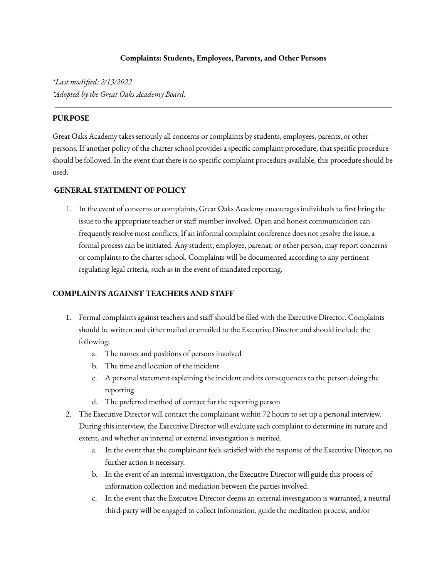## **Complaints: Students, Employees, Parents, and Other Persons**

*\*Last modified: 2/13/2022 \*Adopted by the Great Oaks Academy Board:*

## **PURPOSE**

Great Oaks Academy takes seriously all concerns or complaints by students, employees, parents, or other persons. If another policy of the charter school provides a specific complaint procedure, that specific procedure should be followed. In the event that there is no specific complaint procedure available, this procedure should be used.

## **GENERAL STATEMENT OF POLICY**

1. In the event of concerns or complaints, Great Oaks Academy encourages individuals to first bring the issue to the appropriate teacher or staff member involved. Open and honest communication can frequently resolve most conflicts. If an informal complaint conference does not resolve the issue, a formal process can be initiated. Any student, employee, parenat, or other person, may report concerns or complaints to the charter school. Complaints will be documented according to any pertinent regulating legal criteria, such as in the event of mandated reporting.

### **COMPLAINTS AGAINST TEACHERS AND STAFF**

- 1. Formal complaints against teachers and staff should be filed with the Executive Director. Complaints should be written and either mailed or emailed to the Executive Director and should include the following:
	- a. The names and positions of persons involved
	- b. The time and location of the incident
	- c. A personal statement explaining the incident and its consequences to the person doing the reporting
	- d. The preferred method of contact for the reporting person
- 2. The Executive Director will contact the complainant within 72 hours to set up a personal interview. During this interview, the Executive Director will evaluate each complaint to determine its nature and extent, and whether an internal or external investigation is merited.
	- a. In the event that the complainant feels satisfied with the response of the Executive Director, no further action is necessary.
	- b. In the event of an internal investigation, the Executive Director will guide this process of information collection and mediation between the parties involved.
	- c. In the event that the Executive Director deems an external investigation is warranted, a neutral third-party will be engaged to collect information, guide the meditation process, and/or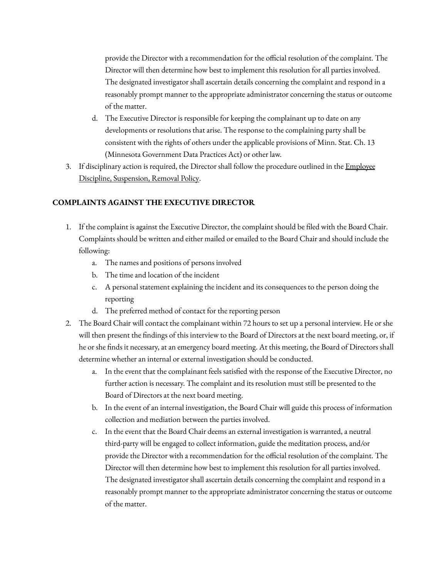provide the Director with a recommendation for the official resolution of the complaint. The Director will then determine how best to implement this resolution for all parties involved. The designated investigator shall ascertain details concerning the complaint and respond in a reasonably prompt manner to the appropriate administrator concerning the status or outcome of the matter.

- d. The Executive Director is responsible for keeping the complainant up to date on any developments or resolutions that arise. The response to the complaining party shall be consistent with the rights of others under the applicable provisions of Minn. Stat. Ch. 13 (Minnesota Government Data Practices Act) or other law.
- 3. If disciplinary action is required, the Director shall follow the procedure outlined in the [Employee](https://greatoaksacademymn.com/wp-content/uploads/2021/03/GOA-Employee-Discipline-Suspension-Removal-Policy.docx) Discipline, [Suspension,](https://greatoaksacademymn.com/wp-content/uploads/2021/03/GOA-Employee-Discipline-Suspension-Removal-Policy.docx) Removal Policy.

# **COMPLAINTS AGAINST THE EXECUTIVE DIRECTOR**

- 1. If the complaint is against the Executive Director, the complaint should be filed with the Board Chair. Complaints should be written and either mailed or emailed to the Board Chair and should include the following:
	- a. The names and positions of persons involved
	- b. The time and location of the incident
	- c. A personal statement explaining the incident and its consequences to the person doing the reporting
	- d. The preferred method of contact for the reporting person
- 2. The Board Chair will contact the complainant within 72 hours to set up a personal interview. He or she will then present the findings of this interview to the Board of Directors at the next board meeting, or, if he or she finds it necessary, at an emergency board meeting. At this meeting, the Board of Directors shall determine whether an internal or external investigation should be conducted.
	- a. In the event that the complainant feels satisfied with the response of the Executive Director, no further action is necessary. The complaint and its resolution must still be presented to the Board of Directors at the next board meeting.
	- b. In the event of an internal investigation, the Board Chair will guide this process of information collection and mediation between the parties involved.
	- c. In the event that the Board Chair deems an external investigation is warranted, a neutral third-party will be engaged to collect information, guide the meditation process, and/or provide the Director with a recommendation for the official resolution of the complaint. The Director will then determine how best to implement this resolution for all parties involved. The designated investigator shall ascertain details concerning the complaint and respond in a reasonably prompt manner to the appropriate administrator concerning the status or outcome of the matter.